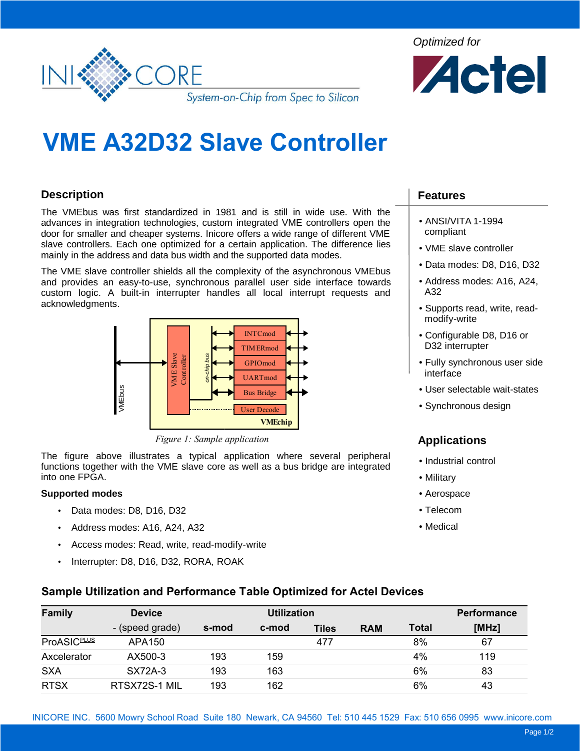

Optimized for



# **VME A32D32 Slave Controller**

# **Description**

The VMEbus was first standardized in 1981 and is still in wide use. With the advances in integration technologies, custom integrated VME controllers open the door for smaller and cheaper systems. Inicore offers a wide range of different VME slave controllers. Each one optimized for a certain application. The difference lies mainly in the address and data bus width and the supported data modes.

The VME slave controller shields all the complexity of the asynchronous VMEbus and provides an easy-to-use, synchronous parallel user side interface towards custom logic. A built-in interrupter handles all local interrupt requests and acknowledgments.



*Figure 1: Sample application*

The figure above illustrates a typical application where several peripheral functions together with the VME slave core as well as a bus bridge are integrated into one FPGA.

#### **Supported modes**

- Data modes: D8, D16, D32
- Address modes: A16, A24, A32
- Access modes: Read, write, read-modify-write
- Interrupter: D8, D16, D32, RORA, ROAK

## **Features**

- ANSI/VITA 1-1994 compliant
- VME slave controller
- Data modes: D8, D16, D32
- Address modes: A16, A24, A32
- Supports read, write, readmodify-write
- Configurable D8, D16 or D32 interrupter
- Fully synchronous user side interface
- User selectable wait-states
- Synchronous design

# **Applications**

- Industrial control
- Military
- Aerospace
- Telecom
- Medical

#### **Sample Utilization and Performance Table Optimized for Actel Devices**

| <b>Family</b>      | <b>Device</b>   | <b>Utilization</b> |       |       |            |              | <b>Performance</b> |
|--------------------|-----------------|--------------------|-------|-------|------------|--------------|--------------------|
|                    | - (speed grade) | s-mod              | c-mod | Tiles | <b>RAM</b> | <b>Total</b> | [MHz]              |
| <b>ProASICPLUS</b> | APA150          |                    |       | 477   |            | 8%           | 67                 |
| Axcelerator        | AX500-3         | 193                | 159   |       |            | 4%           | 119                |
| <b>SXA</b>         | SX72A-3         | 193                | 163   |       |            | 6%           | 83                 |
| <b>RTSX</b>        | RTSX72S-1 MIL   | 193                | 162   |       |            | 6%           | 43                 |

INICORE INC. 5600 Mowry School Road Suite 180 Newark, CA 94560 Tel: 510 445 1529 Fax: 510 656 0995 www.inicore.com